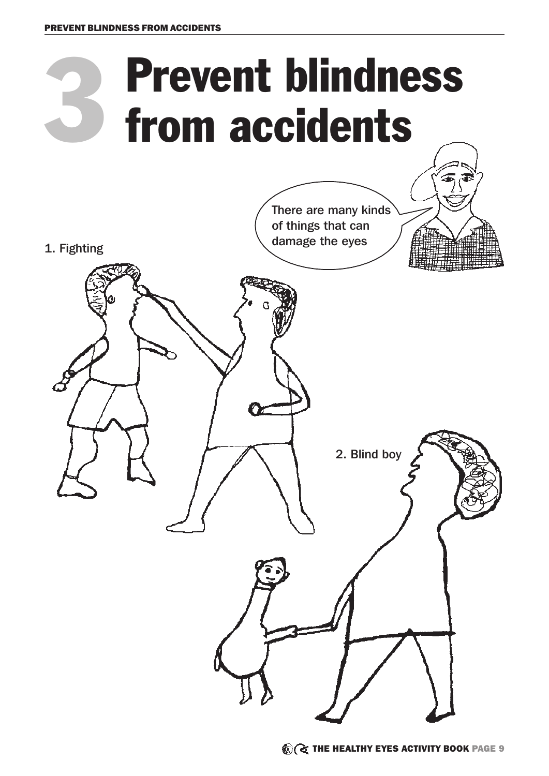

2. Blind boy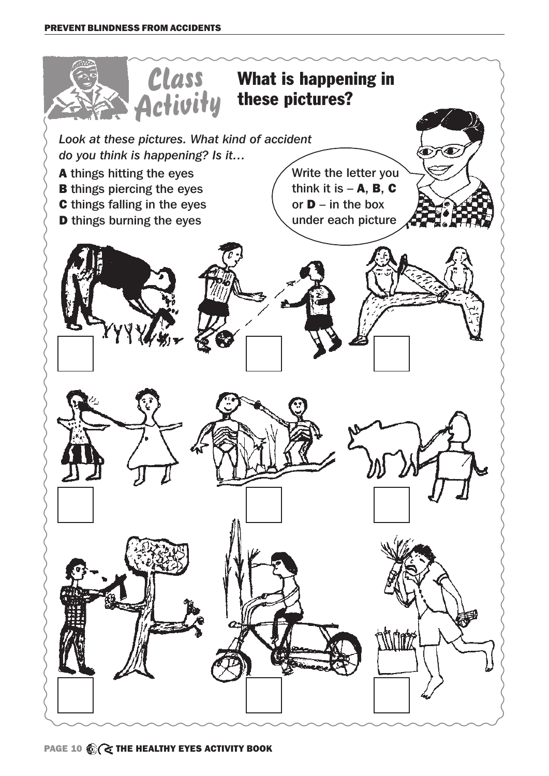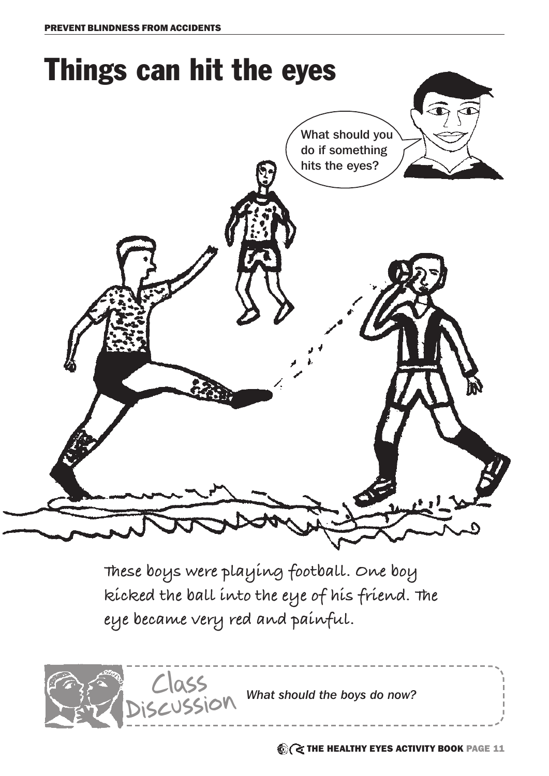

**These boys were playing football. One boy kicked the ball into the eye of his friend. The eye became very red and painful.** 

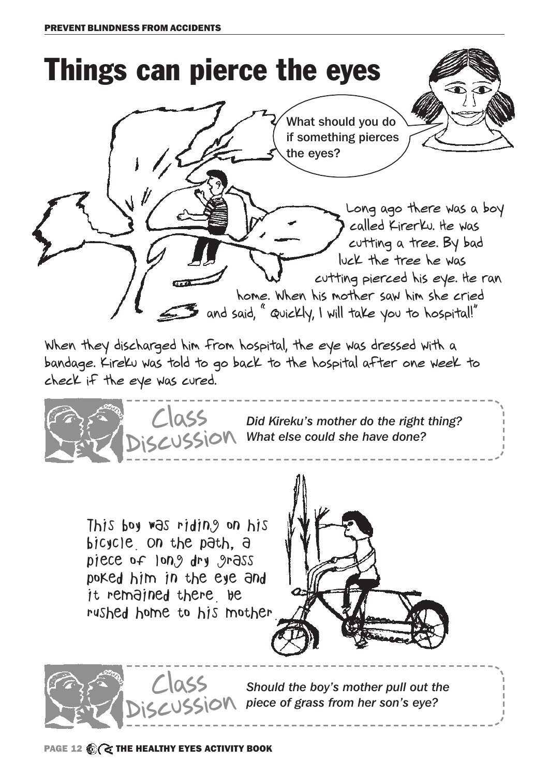

When they discharged him from hospital, the eye was dressed with a bandage. Kireku was told to go back to the hospital after one week to check if the eye was cured.



*Did Kireku's mother do the right thing? What else could she have done?*

This boy was riding on his bicycle. On the path, a piece of long dry grass poked him in the eye and it remained there be rushed home to his mother.





*Should the boy's mother pull out the piece of grass from her son's eye?*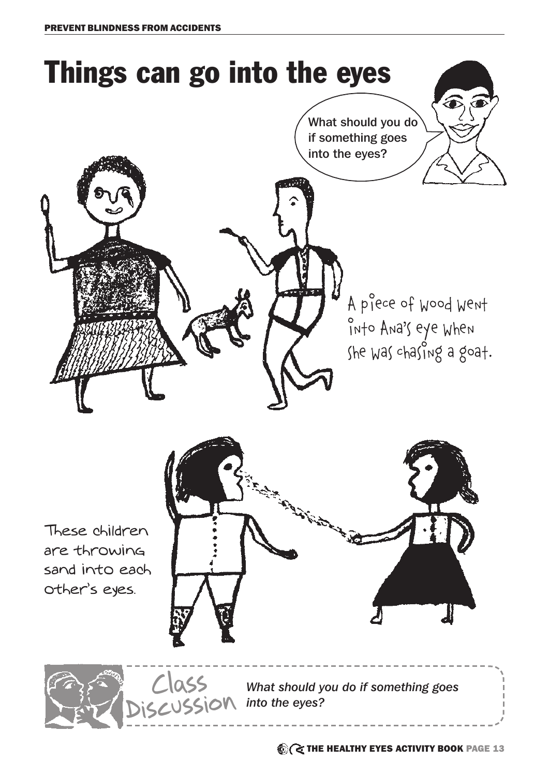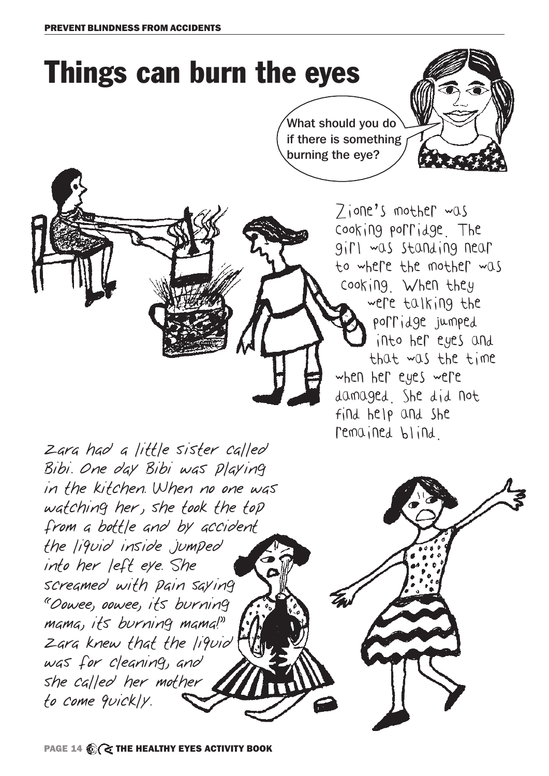# Things can burn the eyes

What should you do if there is something burning the eye?

> Zione's mother was cooking porridge. The girl was standing near to where the mother was cooking. When they were talking the porridge jumped into her eyes and that was the time when her eyes were damaged. She did not find help and she remained blind.

Zara had a little sister called Bibi. One day Bibi was playing in the kitchen. When no one was watching her, she took the top from a bottle and by accident the liquid inside jumped into her left eye. She screamed with pain saying "Oowee, oowee, its burning mama, its burning mama!" Zara knew that the liquid was for cleaning, and she called her mother to come quickly.

PAGE 14  $\bigotimes$  ( THE HEALTHY EYES ACTIVITY BOOK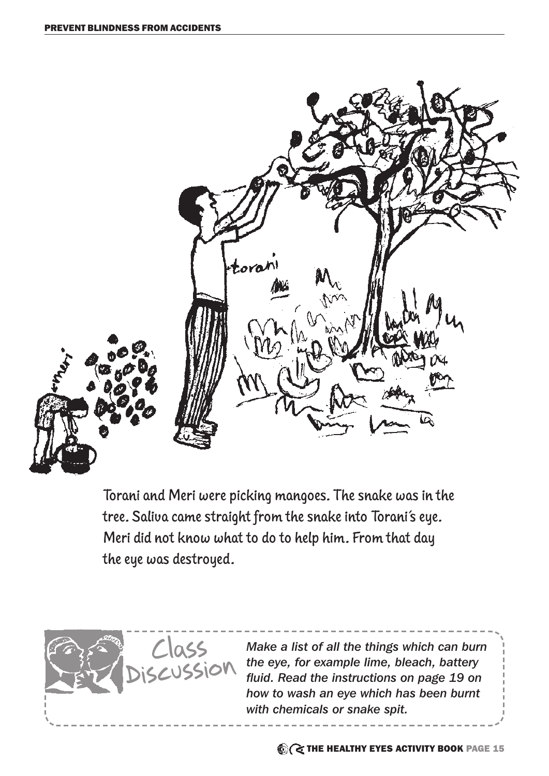

Torani and Meri were picking mangoes. The snake was in the tree. Saliva came straight from the snake into Torani's eye. Meri did not know what to do to help him. From that day the eye was destroyed.



*Make a list of all the things which can burn the eye, for example lime, bleach, battery fluid. Read the instructions on page 19 on how to wash an eye which has been burnt with chemicals or snake spit.*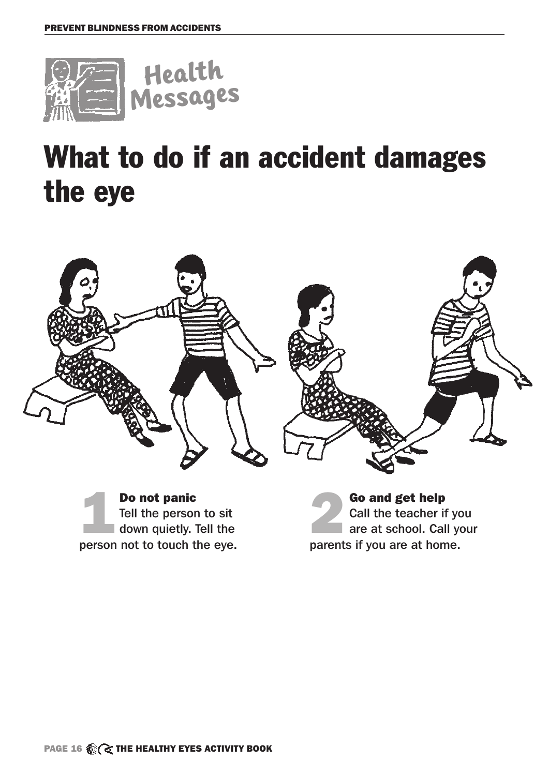

### What to do if an accident damages the eye



**1 Do not panic<br>1 Tell the person<br>1 down quietly.** Tell the person to sit down quietly. Tell the person not to touch the eye.

**2 Go and get help**<br>Call the teacher if<br>are at school. Call<br>parents if you are at ben Call the teacher if you are at school. Call your parents if you are at home.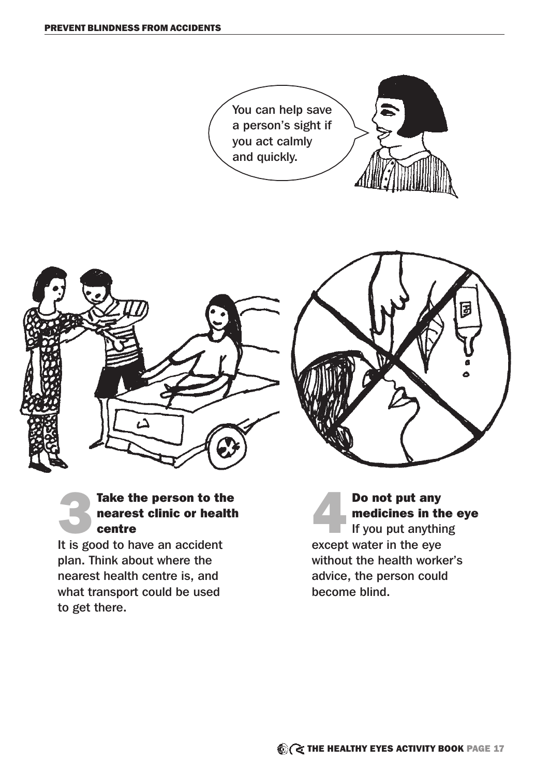

### Take the person to the nearest clinic or health centre

It is good to have an accident plan. Think about where the nearest health centre is, and what transport could be used to get there.

**Do not put any<br>medicines in the diversion of the same of the same of the same of the same of the same of the same of the same of the same of the same of the same of the same of the same of the same of the same of the same** medicines in the eye If you put anything except water in the eye without the health worker's advice, the person could become blind.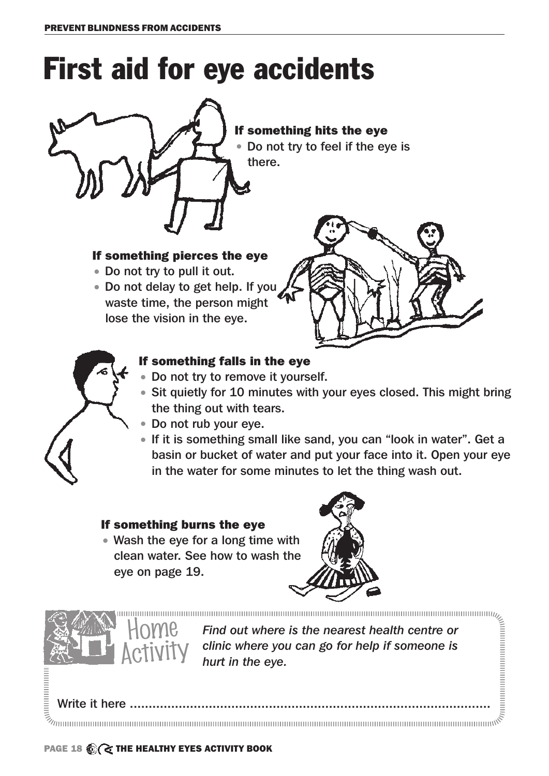## First aid for eye accidents



If something hits the eye • Do not try to feel if the eye is

#### If something pierces the eye

- Do not try to pull it out.
- Do not delay to get help. If you waste time, the person might lose the vision in the eye.





### If something falls in the eye

- Do not try to remove it yourself.
- Sit quietly for 10 minutes with your eyes closed. This might bring the thing out with tears.
- Do not rub your eye.
- If it is something small like sand, you can "look in water". Get a basin or bucket of water and put your face into it. Open your eye in the water for some minutes to let the thing wash out.

#### If something burns the eye

• Wash the eye for a long time with clean water. See how to wash the eye on page 19.





*Find out where is the nearest health centre or clinic where you can go for help if someone is hurt in the eye.*

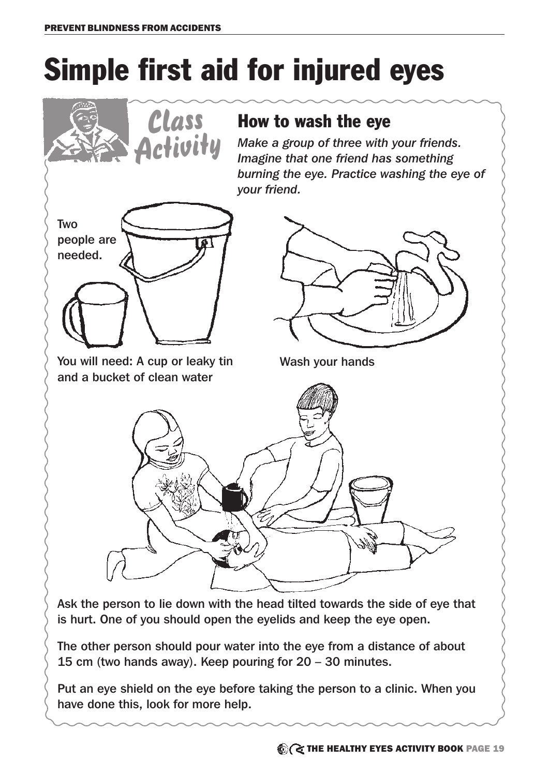# Simple first aid for injured eyes



is hurt. One of you should open the eyelids and keep the eye open.

The other person should pour water into the eye from a distance of about 15 cm (two hands away). Keep pouring for 20 – 30 minutes.

Put an eye shield on the eye before taking the person to a clinic. When you have done this, look for more help.